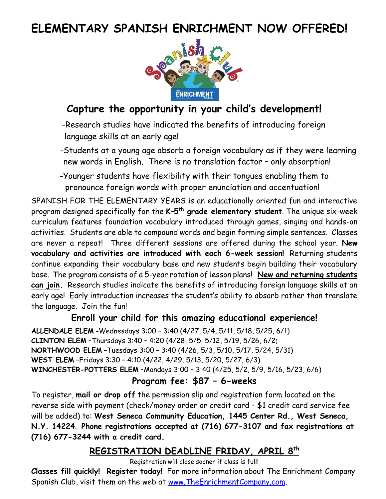# **ELEMENTARY SPANISH ENRICHMENT NOW OFFERED!**



# **Capture the opportunity in your child's development!**

-Research studies have indicated the benefits of introducing foreign language skills at an early age!

-Students at a young age absorb a foreign vocabulary as if they were learning new words in English. There is no translation factor – only absorption!

-Younger students have flexibility with their tongues enabling them to pronounce foreign words with proper enunciation and accentuation!

SPANISH FOR THE ELEMENTARY YEARS is an educationally oriented fun and interactive program designed specifically for the **K–5 th grade elementary student**. The unique six-week curriculum features foundation vocabulary introduced through games, singing and hands-on activities. Students are able to compound words and begin forming simple sentences. Classes are never a repeat! Three different sessions are offered during the school year. **New vocabulary and activities are introduced with each 6-week session!** Returning students continue expanding their vocabulary base and new students begin building their vocabulary base. The program consists of a 5-year rotation of lesson plans! **New and returning students can join.** Research studies indicate the benefits of introducing foreign language skills at an early age! Early introduction increases the student's ability to absorb rather than translate the language. Join the fun!

## **Enroll your child for this amazing educational experience!**

**ALLENDALE ELEM** -Wednesdays 3:00 – 3:40 (4/27, 5/4, 5/11, 5/18, 5/25, 6/1) **CLINTON ELEM** –Thursdays 3:40 – 4:20 (4/28, 5/5, 5/12, 5/19, 5/26, 6/2) **NORTHWOOD ELEM** –Tuesdays 3:00 – 3:40 (4/26, 5/3, 5/10, 5/17, 5/24, 5/31) **WEST ELEM** –Fridays 3:30 – 4:10 (4/22, 4/29, 5/13, 5/20, 5/27, 6/3) **WINCHESTER-POTTERS ELEM** –Mondays 3:00 – 3:40 (4/25, 5/2, 5/9, 5/16, 5/23, 6/6)

## **Program fee: \$87 – 6-weeks**

To register, **mail or drop off** the permission slip and registration form located on the reverse side with payment (check/money order or credit card - \$1 credit card service fee will be added) to: **West Seneca Community Education, 1445 Center Rd., West Seneca, N.Y. 14224**. **Phone registrations accepted at (716) 677-3107 and fax registrations at (716) 677-3244 with a credit card.**

## **REGISTRATION DEADLINE FRIDAY, APRIL 8 th**

Registration will close sooner if class is full!

**Classes fill quickly! Register today!** For more information about The Enrichment Company Spanish Club, visit them on the web at [www.TheEnrichmentCompany.com.](http://www.theenrichmentcompany.com/)